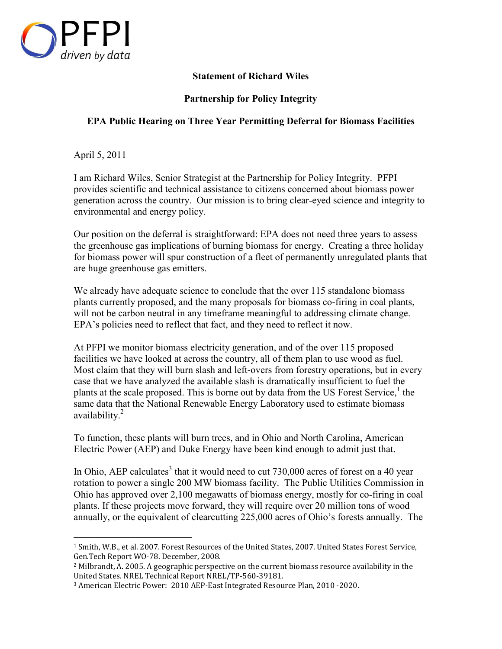

-

## **Statement of Richard Wiles**

## **Partnership for Policy Integrity**

## **EPA Public Hearing on Three Year Permitting Deferral for Biomass Facilities**

April 5, 2011

I am Richard Wiles, Senior Strategist at the Partnership for Policy Integrity. PFPI provides scientific and technical assistance to citizens concerned about biomass power generation across the country. Our mission is to bring clear-eyed science and integrity to environmental and energy policy.

Our position on the deferral is straightforward: EPA does not need three years to assess the greenhouse gas implications of burning biomass for energy. Creating a three holiday for biomass power will spur construction of a fleet of permanently unregulated plants that are huge greenhouse gas emitters.

We already have adequate science to conclude that the over 115 standalone biomass plants currently proposed, and the many proposals for biomass co-firing in coal plants, will not be carbon neutral in any timeframe meaningful to addressing climate change. EPA's policies need to reflect that fact, and they need to reflect it now.

At PFPI we monitor biomass electricity generation, and of the over 115 proposed facilities we have looked at across the country, all of them plan to use wood as fuel. Most claim that they will burn slash and left-overs from forestry operations, but in every case that we have analyzed the available slash is dramatically insufficient to fuel the plants at the scale proposed. This is borne out by data from the US Forest Service,<sup>1</sup> the same data that the National Renewable Energy Laboratory used to estimate biomass availability.<sup>2</sup>

To function, these plants will burn trees, and in Ohio and North Carolina, American Electric Power (AEP) and Duke Energy have been kind enough to admit just that.

In Ohio, AEP calculates<sup>3</sup> that it would need to cut  $730,000$  acres of forest on a 40 year rotation to power a single 200 MW biomass facility. The Public Utilities Commission in Ohio has approved over 2,100 megawatts of biomass energy, mostly for co-firing in coal plants. If these projects move forward, they will require over 20 million tons of wood annually, or the equivalent of clearcutting 225,000 acres of Ohio's forests annually. The

<sup>&</sup>lt;sup>1</sup> Smith, W.B., et al. 2007. Forest Resources of the United States, 2007. United States Forest Service, Gen.Tech Report WO-78. December, 2008.

 $<sup>2</sup>$  Milbrandt, A. 2005. A geographic perspective on the current biomass resource availability in the</sup> United States. NREL Technical Report NREL/TP-560-39181.

<sup>3</sup> American Electric Power: 2010 AEP-East Integrated Resource Plan, 2010 -2020.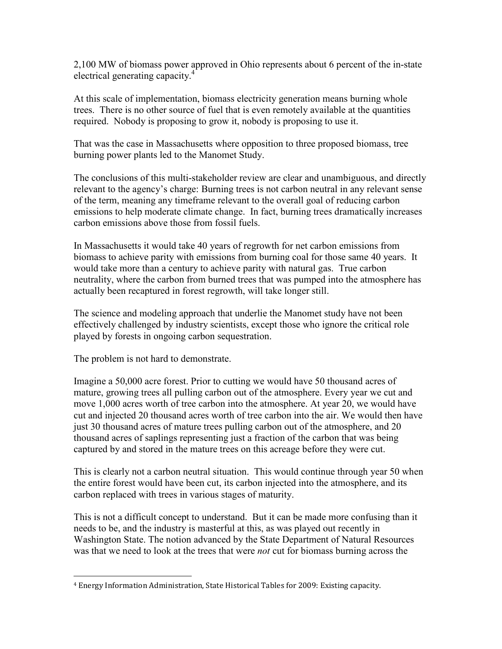2,100 MW of biomass power approved in Ohio represents about 6 percent of the in-state electrical generating capacity.<sup>4</sup>

At this scale of implementation, biomass electricity generation means burning whole trees. There is no other source of fuel that is even remotely available at the quantities required. Nobody is proposing to grow it, nobody is proposing to use it.

That was the case in Massachusetts where opposition to three proposed biomass, tree burning power plants led to the Manomet Study.

The conclusions of this multi-stakeholder review are clear and unambiguous, and directly relevant to the agency's charge: Burning trees is not carbon neutral in any relevant sense of the term, meaning any timeframe relevant to the overall goal of reducing carbon emissions to help moderate climate change. In fact, burning trees dramatically increases carbon emissions above those from fossil fuels.

In Massachusetts it would take 40 years of regrowth for net carbon emissions from biomass to achieve parity with emissions from burning coal for those same 40 years. It would take more than a century to achieve parity with natural gas. True carbon neutrality, where the carbon from burned trees that was pumped into the atmosphere has actually been recaptured in forest regrowth, will take longer still.

The science and modeling approach that underlie the Manomet study have not been effectively challenged by industry scientists, except those who ignore the critical role played by forests in ongoing carbon sequestration.

The problem is not hard to demonstrate.

Imagine a 50,000 acre forest. Prior to cutting we would have 50 thousand acres of mature, growing trees all pulling carbon out of the atmosphere. Every year we cut and move 1,000 acres worth of tree carbon into the atmosphere. At year 20, we would have cut and injected 20 thousand acres worth of tree carbon into the air. We would then have just 30 thousand acres of mature trees pulling carbon out of the atmosphere, and 20 thousand acres of saplings representing just a fraction of the carbon that was being captured by and stored in the mature trees on this acreage before they were cut.

This is clearly not a carbon neutral situation. This would continue through year 50 when the entire forest would have been cut, its carbon injected into the atmosphere, and its carbon replaced with trees in various stages of maturity.

This is not a difficult concept to understand. But it can be made more confusing than it needs to be, and the industry is masterful at this, as was played out recently in Washington State. The notion advanced by the State Department of Natural Resources was that we need to look at the trees that were *not* cut for biomass burning across the

<sup>-</sup>4 Energy Information Administration, State Historical Tables for 2009: Existing capacity.